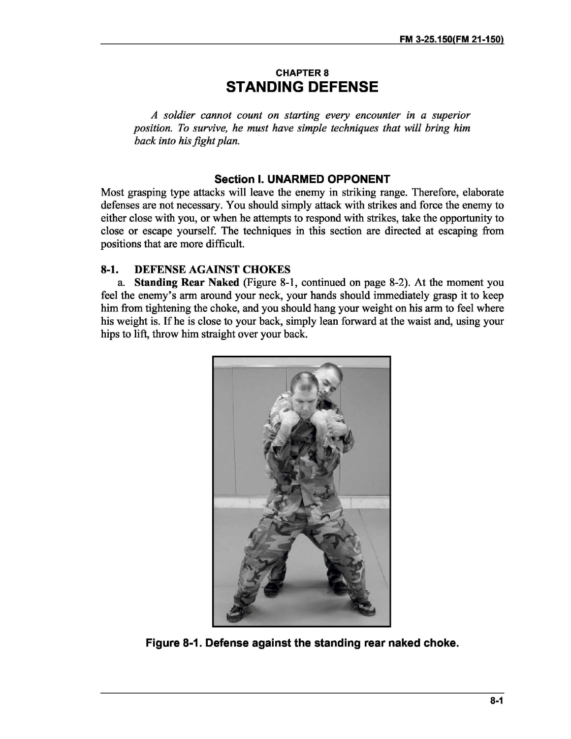## **CHAPTER 8 STANDING DEFENSE**

*A soldier cannot count on starting every encounter in a superior position. To survive, he must have simple techniques that will bring him back into hisfight plan.*

## **Section I. UNARMED OPPONENT**

Most grasping type attacks will leave the enemy in striking range. Therefore, elaborate defenses are not necessary. You should simply attack with strikes and force the enemy to either close with you, or when he attempts to respond with strikes, take the opportunity to close or escape yourself. The techniques in this section are directed at escaping from positions that are more difficult.

## **8-1. DEFENSE AGAINST CHOKES**

**a. Standing Rear Naked** (Figure 8-1, continued on page 8-2). At the moment you feel the enemy's arm around your neck, your hands should immediately grasp it to keep him from tightening the choke, and you should hang your weight on his arm to feel where his weight is. If he is close to your back, simply lean forward at the waist and, using your hips to lift, throw him straight over your back.



**Figure 8-1. Defense against the standing rear naked choke.**